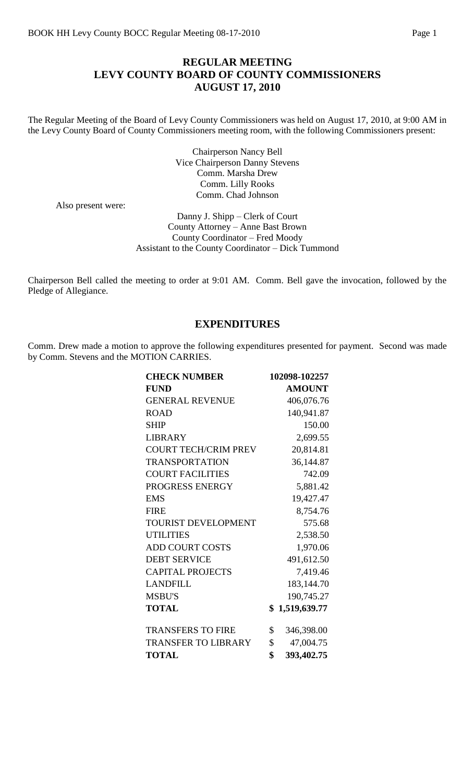## **REGULAR MEETING LEVY COUNTY BOARD OF COUNTY COMMISSIONERS AUGUST 17, 2010**

The Regular Meeting of the Board of Levy County Commissioners was held on August 17, 2010, at 9:00 AM in the Levy County Board of County Commissioners meeting room, with the following Commissioners present:

> Chairperson Nancy Bell Vice Chairperson Danny Stevens Comm. Marsha Drew Comm. Lilly Rooks Comm. Chad Johnson

Also present were:

Danny J. Shipp – Clerk of Court County Attorney – Anne Bast Brown County Coordinator – Fred Moody Assistant to the County Coordinator – Dick Tummond

Chairperson Bell called the meeting to order at 9:01 AM. Comm. Bell gave the invocation, followed by the Pledge of Allegiance.

## **EXPENDITURES**

Comm. Drew made a motion to approve the following expenditures presented for payment. Second was made by Comm. Stevens and the MOTION CARRIES.

| <b>CHECK NUMBER</b>         | 102098-102257      |
|-----------------------------|--------------------|
| <b>FUND</b>                 | <b>AMOUNT</b>      |
| <b>GENERAL REVENUE</b>      | 406,076.76         |
| <b>ROAD</b>                 | 140,941.87         |
| <b>SHIP</b>                 | 150.00             |
| <b>LIBRARY</b>              | 2,699.55           |
| <b>COURT TECH/CRIM PREV</b> | 20,814.81          |
| <b>TRANSPORTATION</b>       | 36,144.87          |
| <b>COURT FACILITIES</b>     | 742.09             |
| PROGRESS ENERGY             | 5,881.42           |
| <b>EMS</b>                  | 19,427.47          |
| <b>FIRE</b>                 | 8,754.76           |
| <b>TOURIST DEVELOPMENT</b>  | 575.68             |
| <b>UTILITIES</b>            | 2,538.50           |
| <b>ADD COURT COSTS</b>      | 1,970.06           |
| <b>DEBT SERVICE</b>         | 491,612.50         |
| <b>CAPITAL PROJECTS</b>     | 7,419.46           |
| <b>LANDFILL</b>             | 183, 144. 70       |
| <b>MSBU'S</b>               | 190,745.27         |
| <b>TOTAL</b>                | \$<br>1,519,639.77 |
| <b>TRANSFERS TO FIRE</b>    | \$<br>346,398.00   |
| <b>TRANSFER TO LIBRARY</b>  | \$<br>47,004.75    |
| <b>TOTAL</b>                | \$<br>393,402.75   |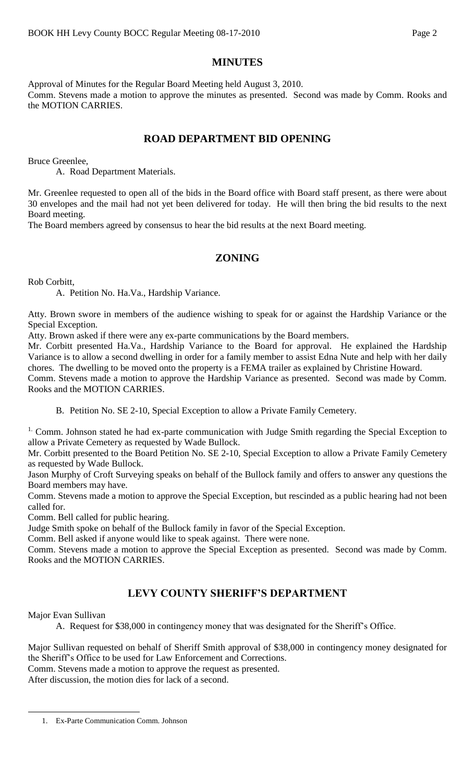# **MINUTES**

Approval of Minutes for the Regular Board Meeting held August 3, 2010. Comm. Stevens made a motion to approve the minutes as presented. Second was made by Comm. Rooks and the MOTION CARRIES.

# **ROAD DEPARTMENT BID OPENING**

Bruce Greenlee,

A. Road Department Materials.

Mr. Greenlee requested to open all of the bids in the Board office with Board staff present, as there were about 30 envelopes and the mail had not yet been delivered for today. He will then bring the bid results to the next Board meeting.

The Board members agreed by consensus to hear the bid results at the next Board meeting.

# **ZONING**

Rob Corbitt,

A. Petition No. Ha.Va., Hardship Variance.

Atty. Brown swore in members of the audience wishing to speak for or against the Hardship Variance or the Special Exception.

Atty. Brown asked if there were any ex-parte communications by the Board members.

Mr. Corbitt presented Ha.Va., Hardship Variance to the Board for approval. He explained the Hardship Variance is to allow a second dwelling in order for a family member to assist Edna Nute and help with her daily chores. The dwelling to be moved onto the property is a FEMA trailer as explained by Christine Howard.

Comm. Stevens made a motion to approve the Hardship Variance as presented. Second was made by Comm. Rooks and the MOTION CARRIES.

B. Petition No. SE 2-10, Special Exception to allow a Private Family Cemetery.

<sup>1.</sup> Comm. Johnson stated he had ex-parte communication with Judge Smith regarding the Special Exception to allow a Private Cemetery as requested by Wade Bullock.

Mr. Corbitt presented to the Board Petition No. SE 2-10, Special Exception to allow a Private Family Cemetery as requested by Wade Bullock.

Jason Murphy of Croft Surveying speaks on behalf of the Bullock family and offers to answer any questions the Board members may have.

Comm. Stevens made a motion to approve the Special Exception, but rescinded as a public hearing had not been called for.

Comm. Bell called for public hearing.

Judge Smith spoke on behalf of the Bullock family in favor of the Special Exception.

Comm. Bell asked if anyone would like to speak against. There were none.

Comm. Stevens made a motion to approve the Special Exception as presented. Second was made by Comm. Rooks and the MOTION CARRIES.

# **LEVY COUNTY SHERIFF'S DEPARTMENT**

Major Evan Sullivan

 $\overline{a}$ 

A. Request for \$38,000 in contingency money that was designated for the Sheriff's Office.

Major Sullivan requested on behalf of Sheriff Smith approval of \$38,000 in contingency money designated for the Sheriff's Office to be used for Law Enforcement and Corrections.

Comm. Stevens made a motion to approve the request as presented.

After discussion, the motion dies for lack of a second.

<sup>1.</sup> Ex-Parte Communication Comm. Johnson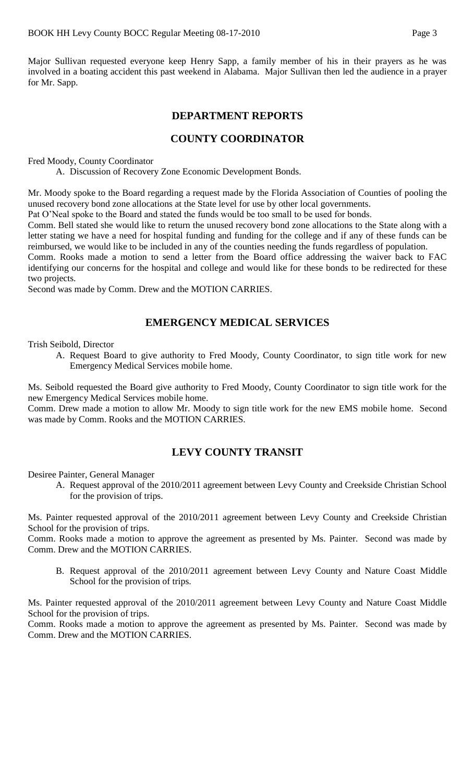Major Sullivan requested everyone keep Henry Sapp, a family member of his in their prayers as he was involved in a boating accident this past weekend in Alabama. Major Sullivan then led the audience in a prayer for Mr. Sapp.

## **DEPARTMENT REPORTS**

## **COUNTY COORDINATOR**

Fred Moody, County Coordinator

A. Discussion of Recovery Zone Economic Development Bonds.

Mr. Moody spoke to the Board regarding a request made by the Florida Association of Counties of pooling the unused recovery bond zone allocations at the State level for use by other local governments.

Pat O'Neal spoke to the Board and stated the funds would be too small to be used for bonds.

Comm. Bell stated she would like to return the unused recovery bond zone allocations to the State along with a letter stating we have a need for hospital funding and funding for the college and if any of these funds can be reimbursed, we would like to be included in any of the counties needing the funds regardless of population.

Comm. Rooks made a motion to send a letter from the Board office addressing the waiver back to FAC identifying our concerns for the hospital and college and would like for these bonds to be redirected for these two projects.

Second was made by Comm. Drew and the MOTION CARRIES.

# **EMERGENCY MEDICAL SERVICES**

Trish Seibold, Director

A. Request Board to give authority to Fred Moody, County Coordinator, to sign title work for new Emergency Medical Services mobile home.

Ms. Seibold requested the Board give authority to Fred Moody, County Coordinator to sign title work for the new Emergency Medical Services mobile home.

Comm. Drew made a motion to allow Mr. Moody to sign title work for the new EMS mobile home. Second was made by Comm. Rooks and the MOTION CARRIES.

# **LEVY COUNTY TRANSIT**

Desiree Painter, General Manager

A. Request approval of the 2010/2011 agreement between Levy County and Creekside Christian School for the provision of trips.

Ms. Painter requested approval of the 2010/2011 agreement between Levy County and Creekside Christian School for the provision of trips.

Comm. Rooks made a motion to approve the agreement as presented by Ms. Painter. Second was made by Comm. Drew and the MOTION CARRIES.

B. Request approval of the 2010/2011 agreement between Levy County and Nature Coast Middle School for the provision of trips.

Ms. Painter requested approval of the 2010/2011 agreement between Levy County and Nature Coast Middle School for the provision of trips.

Comm. Rooks made a motion to approve the agreement as presented by Ms. Painter. Second was made by Comm. Drew and the MOTION CARRIES.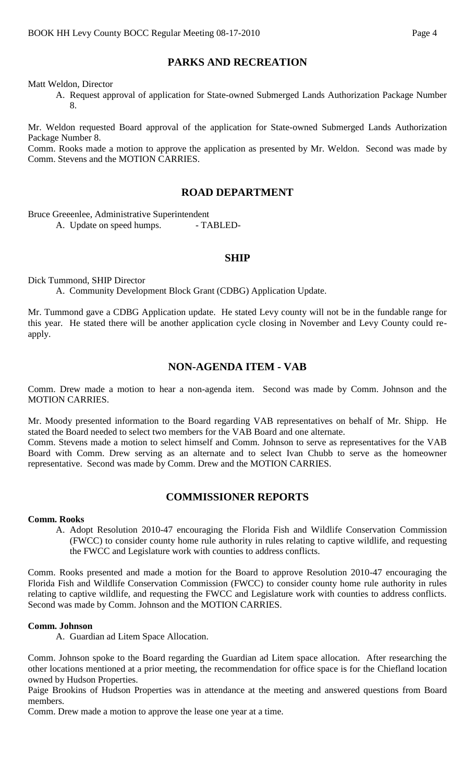## **PARKS AND RECREATION**

Matt Weldon, Director

A. Request approval of application for State-owned Submerged Lands Authorization Package Number 8.

Mr. Weldon requested Board approval of the application for State-owned Submerged Lands Authorization Package Number 8.

Comm. Rooks made a motion to approve the application as presented by Mr. Weldon. Second was made by Comm. Stevens and the MOTION CARRIES.

## **ROAD DEPARTMENT**

Bruce Greeenlee, Administrative Superintendent

A. Update on speed humps. - TABLED-

## **SHIP**

Dick Tummond, SHIP Director

A. Community Development Block Grant (CDBG) Application Update.

Mr. Tummond gave a CDBG Application update. He stated Levy county will not be in the fundable range for this year. He stated there will be another application cycle closing in November and Levy County could reapply.

### **NON-AGENDA ITEM - VAB**

Comm. Drew made a motion to hear a non-agenda item. Second was made by Comm. Johnson and the MOTION CARRIES.

Mr. Moody presented information to the Board regarding VAB representatives on behalf of Mr. Shipp. He stated the Board needed to select two members for the VAB Board and one alternate.

Comm. Stevens made a motion to select himself and Comm. Johnson to serve as representatives for the VAB Board with Comm. Drew serving as an alternate and to select Ivan Chubb to serve as the homeowner representative. Second was made by Comm. Drew and the MOTION CARRIES.

#### **COMMISSIONER REPORTS**

#### **Comm. Rooks**

A. Adopt Resolution 2010-47 encouraging the Florida Fish and Wildlife Conservation Commission (FWCC) to consider county home rule authority in rules relating to captive wildlife, and requesting the FWCC and Legislature work with counties to address conflicts.

Comm. Rooks presented and made a motion for the Board to approve Resolution 2010-47 encouraging the Florida Fish and Wildlife Conservation Commission (FWCC) to consider county home rule authority in rules relating to captive wildlife, and requesting the FWCC and Legislature work with counties to address conflicts. Second was made by Comm. Johnson and the MOTION CARRIES.

#### **Comm. Johnson**

A. Guardian ad Litem Space Allocation.

Comm. Johnson spoke to the Board regarding the Guardian ad Litem space allocation. After researching the other locations mentioned at a prior meeting, the recommendation for office space is for the Chiefland location owned by Hudson Properties.

Paige Brookins of Hudson Properties was in attendance at the meeting and answered questions from Board members.

Comm. Drew made a motion to approve the lease one year at a time.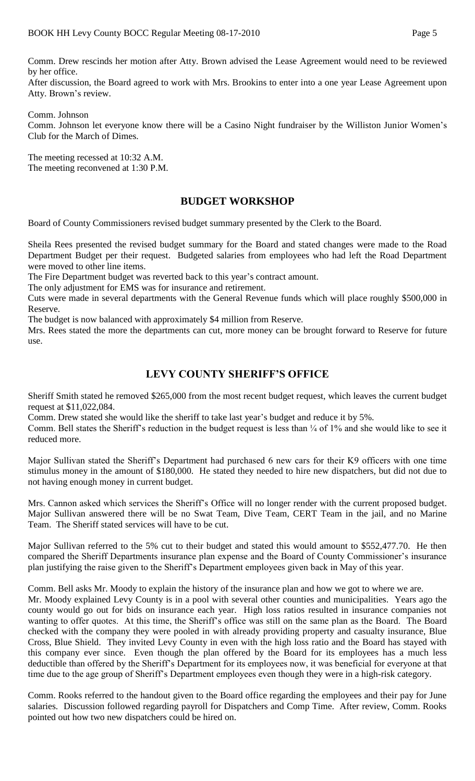Comm. Drew rescinds her motion after Atty. Brown advised the Lease Agreement would need to be reviewed by her office.

After discussion, the Board agreed to work with Mrs. Brookins to enter into a one year Lease Agreement upon Atty. Brown's review.

Comm. Johnson Comm. Johnson let everyone know there will be a Casino Night fundraiser by the Williston Junior Women's Club for the March of Dimes.

The meeting recessed at 10:32 A.M. The meeting reconvened at 1:30 P.M.

# **BUDGET WORKSHOP**

Board of County Commissioners revised budget summary presented by the Clerk to the Board.

Sheila Rees presented the revised budget summary for the Board and stated changes were made to the Road Department Budget per their request. Budgeted salaries from employees who had left the Road Department were moved to other line items.

The Fire Department budget was reverted back to this year's contract amount.

The only adjustment for EMS was for insurance and retirement.

Cuts were made in several departments with the General Revenue funds which will place roughly \$500,000 in Reserve.

The budget is now balanced with approximately \$4 million from Reserve.

Mrs. Rees stated the more the departments can cut, more money can be brought forward to Reserve for future use.

# **LEVY COUNTY SHERIFF'S OFFICE**

Sheriff Smith stated he removed \$265,000 from the most recent budget request, which leaves the current budget request at \$11,022,084.

Comm. Drew stated she would like the sheriff to take last year's budget and reduce it by 5%.

Comm. Bell states the Sheriff's reduction in the budget request is less than ¼ of 1% and she would like to see it reduced more.

Major Sullivan stated the Sheriff's Department had purchased 6 new cars for their K9 officers with one time stimulus money in the amount of \$180,000. He stated they needed to hire new dispatchers, but did not due to not having enough money in current budget.

Mrs. Cannon asked which services the Sheriff's Office will no longer render with the current proposed budget. Major Sullivan answered there will be no Swat Team, Dive Team, CERT Team in the jail, and no Marine Team. The Sheriff stated services will have to be cut.

Major Sullivan referred to the 5% cut to their budget and stated this would amount to \$552,477.70. He then compared the Sheriff Departments insurance plan expense and the Board of County Commissioner's insurance plan justifying the raise given to the Sheriff's Department employees given back in May of this year.

Comm. Bell asks Mr. Moody to explain the history of the insurance plan and how we got to where we are.

Mr. Moody explained Levy County is in a pool with several other counties and municipalities. Years ago the county would go out for bids on insurance each year. High loss ratios resulted in insurance companies not wanting to offer quotes. At this time, the Sheriff's office was still on the same plan as the Board. The Board checked with the company they were pooled in with already providing property and casualty insurance, Blue Cross, Blue Shield. They invited Levy County in even with the high loss ratio and the Board has stayed with this company ever since. Even though the plan offered by the Board for its employees has a much less deductible than offered by the Sheriff's Department for its employees now, it was beneficial for everyone at that time due to the age group of Sheriff's Department employees even though they were in a high-risk category.

Comm. Rooks referred to the handout given to the Board office regarding the employees and their pay for June salaries. Discussion followed regarding payroll for Dispatchers and Comp Time. After review, Comm. Rooks pointed out how two new dispatchers could be hired on.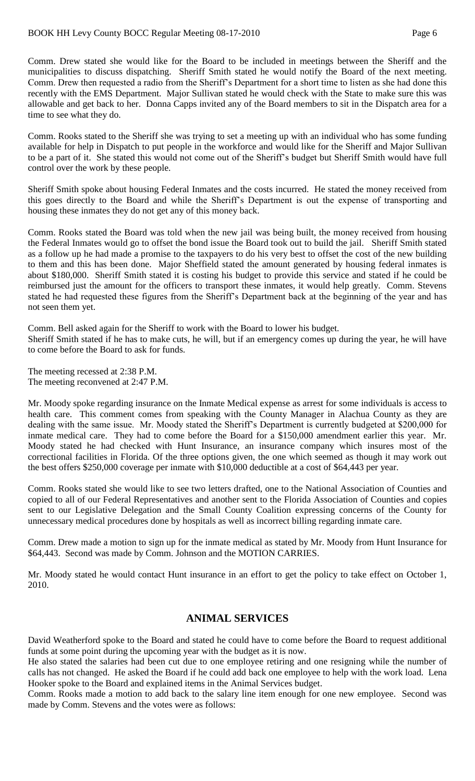Comm. Drew stated she would like for the Board to be included in meetings between the Sheriff and the municipalities to discuss dispatching. Sheriff Smith stated he would notify the Board of the next meeting. Comm. Drew then requested a radio from the Sheriff's Department for a short time to listen as she had done this recently with the EMS Department. Major Sullivan stated he would check with the State to make sure this was allowable and get back to her. Donna Capps invited any of the Board members to sit in the Dispatch area for a time to see what they do.

Comm. Rooks stated to the Sheriff she was trying to set a meeting up with an individual who has some funding available for help in Dispatch to put people in the workforce and would like for the Sheriff and Major Sullivan to be a part of it. She stated this would not come out of the Sheriff's budget but Sheriff Smith would have full control over the work by these people.

Sheriff Smith spoke about housing Federal Inmates and the costs incurred. He stated the money received from this goes directly to the Board and while the Sheriff's Department is out the expense of transporting and housing these inmates they do not get any of this money back.

Comm. Rooks stated the Board was told when the new jail was being built, the money received from housing the Federal Inmates would go to offset the bond issue the Board took out to build the jail. Sheriff Smith stated as a follow up he had made a promise to the taxpayers to do his very best to offset the cost of the new building to them and this has been done. Major Sheffield stated the amount generated by housing federal inmates is about \$180,000. Sheriff Smith stated it is costing his budget to provide this service and stated if he could be reimbursed just the amount for the officers to transport these inmates, it would help greatly. Comm. Stevens stated he had requested these figures from the Sheriff's Department back at the beginning of the year and has not seen them yet.

Comm. Bell asked again for the Sheriff to work with the Board to lower his budget. Sheriff Smith stated if he has to make cuts, he will, but if an emergency comes up during the year, he will have to come before the Board to ask for funds.

The meeting recessed at 2:38 P.M. The meeting reconvened at 2:47 P.M.

Mr. Moody spoke regarding insurance on the Inmate Medical expense as arrest for some individuals is access to health care. This comment comes from speaking with the County Manager in Alachua County as they are dealing with the same issue. Mr. Moody stated the Sheriff's Department is currently budgeted at \$200,000 for inmate medical care. They had to come before the Board for a \$150,000 amendment earlier this year. Mr. Moody stated he had checked with Hunt Insurance, an insurance company which insures most of the correctional facilities in Florida. Of the three options given, the one which seemed as though it may work out the best offers \$250,000 coverage per inmate with \$10,000 deductible at a cost of \$64,443 per year.

Comm. Rooks stated she would like to see two letters drafted, one to the National Association of Counties and copied to all of our Federal Representatives and another sent to the Florida Association of Counties and copies sent to our Legislative Delegation and the Small County Coalition expressing concerns of the County for unnecessary medical procedures done by hospitals as well as incorrect billing regarding inmate care.

Comm. Drew made a motion to sign up for the inmate medical as stated by Mr. Moody from Hunt Insurance for \$64,443. Second was made by Comm. Johnson and the MOTION CARRIES.

Mr. Moody stated he would contact Hunt insurance in an effort to get the policy to take effect on October 1, 2010.

# **ANIMAL SERVICES**

David Weatherford spoke to the Board and stated he could have to come before the Board to request additional funds at some point during the upcoming year with the budget as it is now.

He also stated the salaries had been cut due to one employee retiring and one resigning while the number of calls has not changed. He asked the Board if he could add back one employee to help with the work load. Lena Hooker spoke to the Board and explained items in the Animal Services budget.

Comm. Rooks made a motion to add back to the salary line item enough for one new employee. Second was made by Comm. Stevens and the votes were as follows: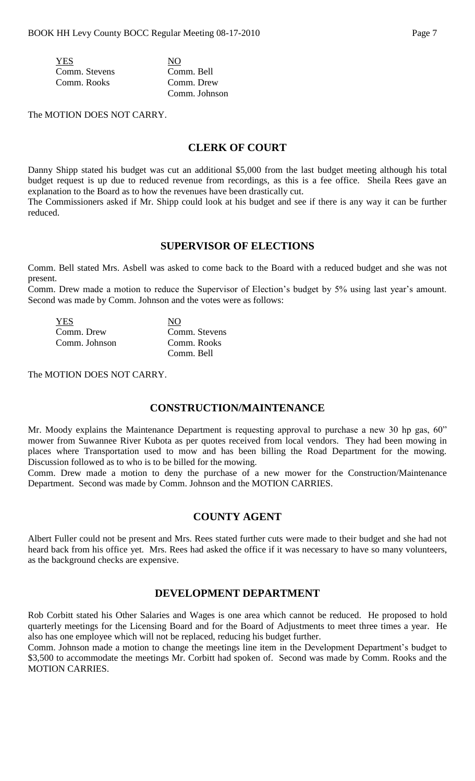YES NO Comm. Stevens Comm. Bell Comm. Rooks Comm. Drew

Comm. Johnson

The MOTION DOES NOT CARRY.

#### **CLERK OF COURT**

Danny Shipp stated his budget was cut an additional \$5,000 from the last budget meeting although his total budget request is up due to reduced revenue from recordings, as this is a fee office. Sheila Rees gave an explanation to the Board as to how the revenues have been drastically cut.

The Commissioners asked if Mr. Shipp could look at his budget and see if there is any way it can be further reduced.

#### **SUPERVISOR OF ELECTIONS**

Comm. Bell stated Mrs. Asbell was asked to come back to the Board with a reduced budget and she was not present.

Comm. Drew made a motion to reduce the Supervisor of Election's budget by 5% using last year's amount. Second was made by Comm. Johnson and the votes were as follows:

| <b>YES</b>    | NО            |
|---------------|---------------|
| Comm. Drew    | Comm. Stevens |
| Comm. Johnson | Comm. Rooks   |
|               | Comm. Bell    |

The MOTION DOES NOT CARRY.

#### **CONSTRUCTION/MAINTENANCE**

Mr. Moody explains the Maintenance Department is requesting approval to purchase a new 30 hp gas, 60" mower from Suwannee River Kubota as per quotes received from local vendors. They had been mowing in places where Transportation used to mow and has been billing the Road Department for the mowing. Discussion followed as to who is to be billed for the mowing.

Comm. Drew made a motion to deny the purchase of a new mower for the Construction/Maintenance Department. Second was made by Comm. Johnson and the MOTION CARRIES.

## **COUNTY AGENT**

Albert Fuller could not be present and Mrs. Rees stated further cuts were made to their budget and she had not heard back from his office yet. Mrs. Rees had asked the office if it was necessary to have so many volunteers, as the background checks are expensive.

## **DEVELOPMENT DEPARTMENT**

Rob Corbitt stated his Other Salaries and Wages is one area which cannot be reduced. He proposed to hold quarterly meetings for the Licensing Board and for the Board of Adjustments to meet three times a year. He also has one employee which will not be replaced, reducing his budget further.

Comm. Johnson made a motion to change the meetings line item in the Development Department's budget to \$3,500 to accommodate the meetings Mr. Corbitt had spoken of. Second was made by Comm. Rooks and the MOTION CARRIES.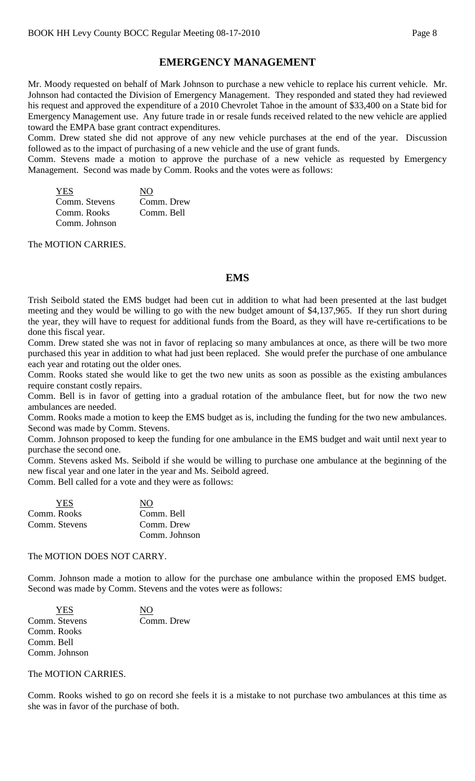# **EMERGENCY MANAGEMENT**

Mr. Moody requested on behalf of Mark Johnson to purchase a new vehicle to replace his current vehicle. Mr. Johnson had contacted the Division of Emergency Management. They responded and stated they had reviewed his request and approved the expenditure of a 2010 Chevrolet Tahoe in the amount of \$33,400 on a State bid for Emergency Management use. Any future trade in or resale funds received related to the new vehicle are applied toward the EMPA base grant contract expenditures.

Comm. Drew stated she did not approve of any new vehicle purchases at the end of the year. Discussion followed as to the impact of purchasing of a new vehicle and the use of grant funds.

Comm. Stevens made a motion to approve the purchase of a new vehicle as requested by Emergency Management. Second was made by Comm. Rooks and the votes were as follows:

| <b>YES</b>    | NΩ         |
|---------------|------------|
| Comm. Stevens | Comm. Drew |
| Comm. Rooks   | Comm. Bell |
| Comm. Johnson |            |

The MOTION CARRIES.

### **EMS**

Trish Seibold stated the EMS budget had been cut in addition to what had been presented at the last budget meeting and they would be willing to go with the new budget amount of \$4,137,965. If they run short during the year, they will have to request for additional funds from the Board, as they will have re-certifications to be done this fiscal year.

Comm. Drew stated she was not in favor of replacing so many ambulances at once, as there will be two more purchased this year in addition to what had just been replaced. She would prefer the purchase of one ambulance each year and rotating out the older ones.

Comm. Rooks stated she would like to get the two new units as soon as possible as the existing ambulances require constant costly repairs.

Comm. Bell is in favor of getting into a gradual rotation of the ambulance fleet, but for now the two new ambulances are needed.

Comm. Rooks made a motion to keep the EMS budget as is, including the funding for the two new ambulances. Second was made by Comm. Stevens.

Comm. Johnson proposed to keep the funding for one ambulance in the EMS budget and wait until next year to purchase the second one.

Comm. Stevens asked Ms. Seibold if she would be willing to purchase one ambulance at the beginning of the new fiscal year and one later in the year and Ms. Seibold agreed.

Comm. Bell called for a vote and they were as follows:

| YES.          | NО            |
|---------------|---------------|
| Comm. Rooks   | Comm. Bell    |
| Comm. Stevens | Comm. Drew    |
|               | Comm. Johnson |

#### The MOTION DOES NOT CARRY.

Comm. Johnson made a motion to allow for the purchase one ambulance within the proposed EMS budget. Second was made by Comm. Stevens and the votes were as follows:

YES NO Comm. Stevens Comm. Drew Comm. Rooks Comm. Bell Comm. Johnson

#### The MOTION CARRIES.

Comm. Rooks wished to go on record she feels it is a mistake to not purchase two ambulances at this time as she was in favor of the purchase of both.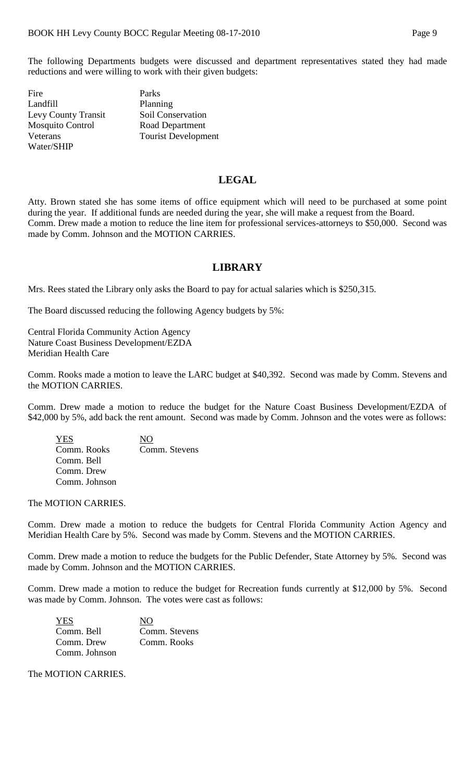The following Departments budgets were discussed and department representatives stated they had made reductions and were willing to work with their given budgets:

Fire Parks Landfill Planning Levy County Transit Soil Conservation Mosquito Control Road Department Water/SHIP

Veterans Tourist Development

### **LEGAL**

Atty. Brown stated she has some items of office equipment which will need to be purchased at some point during the year. If additional funds are needed during the year, she will make a request from the Board. Comm. Drew made a motion to reduce the line item for professional services-attorneys to \$50,000. Second was made by Comm. Johnson and the MOTION CARRIES.

#### **LIBRARY**

Mrs. Rees stated the Library only asks the Board to pay for actual salaries which is \$250,315.

The Board discussed reducing the following Agency budgets by 5%:

Central Florida Community Action Agency Nature Coast Business Development/EZDA Meridian Health Care

Comm. Rooks made a motion to leave the LARC budget at \$40,392. Second was made by Comm. Stevens and the MOTION CARRIES.

Comm. Drew made a motion to reduce the budget for the Nature Coast Business Development/EZDA of \$42,000 by 5%, add back the rent amount. Second was made by Comm. Johnson and the votes were as follows:

YES NO Comm. Rooks Comm. Stevens Comm. Bell Comm. Drew Comm. Johnson

The MOTION CARRIES.

Comm. Drew made a motion to reduce the budgets for Central Florida Community Action Agency and Meridian Health Care by 5%. Second was made by Comm. Stevens and the MOTION CARRIES.

Comm. Drew made a motion to reduce the budgets for the Public Defender, State Attorney by 5%. Second was made by Comm. Johnson and the MOTION CARRIES.

Comm. Drew made a motion to reduce the budget for Recreation funds currently at \$12,000 by 5%. Second was made by Comm. Johnson. The votes were cast as follows:

YES NO Comm. Bell Comm. Stevens Comm. Drew Comm. Rooks Comm. Johnson

The MOTION CARRIES.